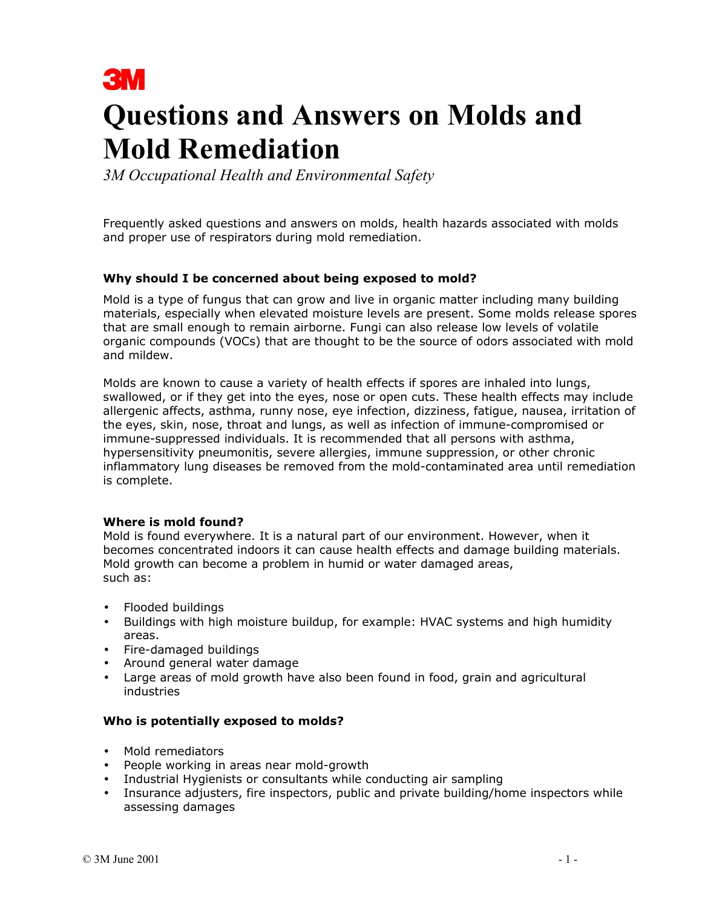

# **Questions and Answers on Molds and Mold Remediation**

*3M Occupational Health and Environmental Safety* 

Frequently asked questions and answers on molds, health hazards associated with molds and proper use of respirators during mold remediation.

## **Why should I be concerned about being exposed to mold?**

Mold is a type of fungus that can grow and live in organic matter including many building materials, especially when elevated moisture levels are present. Some molds release spores that are small enough to remain airborne. Fungi can also release low levels of volatile organic compounds (VOCs) that are thought to be the source of odors associated with mold and mildew.

Molds are known to cause a variety of health effects if spores are inhaled into lungs, swallowed, or if they get into the eyes, nose or open cuts. These health effects may include allergenic affects, asthma, runny nose, eye infection, dizziness, fatigue, nausea, irritation of the eyes, skin, nose, throat and lungs, as well as infection of immune-compromised or immune-suppressed individuals. It is recommended that all persons with asthma, hypersensitivity pneumonitis, severe allergies, immune suppression, or other chronic inflammatory lung diseases be removed from the mold-contaminated area until remediation is complete.

#### **Where is mold found?**

Mold is found everywhere. It is a natural part of our environment. However, when it becomes concentrated indoors it can cause health effects and damage building materials. Mold growth can become a problem in humid or water damaged areas, such as:

- Flooded buildings
- Buildings with high moisture buildup, for example: HVAC systems and high humidity areas.
- Fire-damaged buildings
- Around general water damage
- Large areas of mold growth have also been found in food, grain and agricultural industries

#### **Who is potentially exposed to molds?**

- Mold remediators
- People working in areas near mold-growth
- Industrial Hygienists or consultants while conducting air sampling
- Insurance adjusters, fire inspectors, public and private building/home inspectors while assessing damages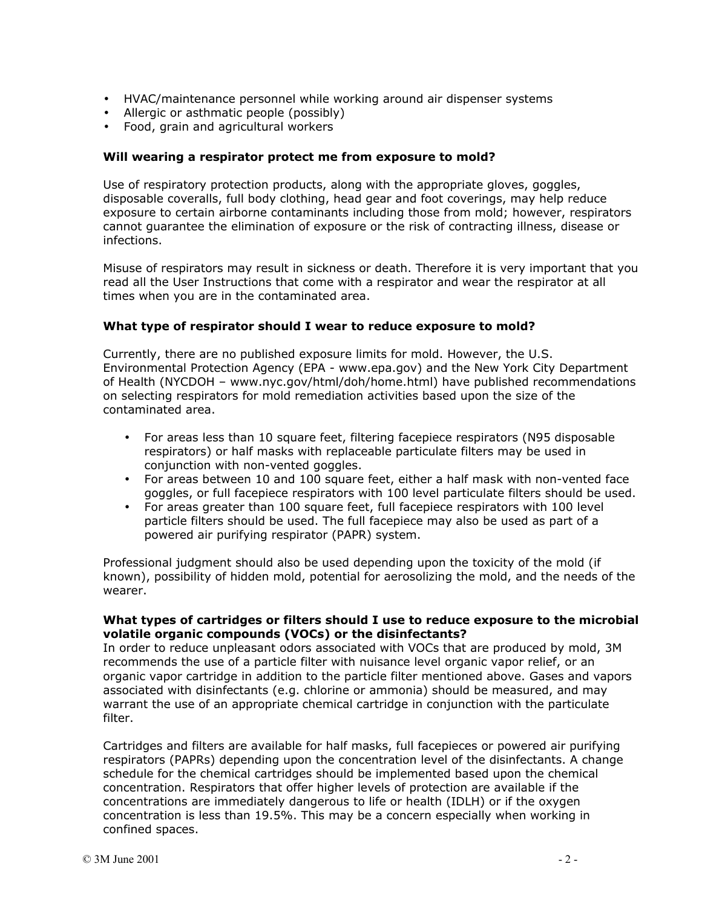- HVAC/maintenance personnel while working around air dispenser systems
- Allergic or asthmatic people (possibly)
- Food, grain and agricultural workers

### **Will wearing a respirator protect me from exposure to mold?**

Use of respiratory protection products, along with the appropriate gloves, goggles, disposable coveralls, full body clothing, head gear and foot coverings, may help reduce exposure to certain airborne contaminants including those from mold; however, respirators cannot guarantee the elimination of exposure or the risk of contracting illness, disease or infections.

Misuse of respirators may result in sickness or death. Therefore it is very important that you read all the User Instructions that come with a respirator and wear the respirator at all times when you are in the contaminated area.

## **What type of respirator should I wear to reduce exposure to mold?**

Currently, there are no published exposure limits for mold. However, the U.S. Environmental Protection Agency (EPA - www.epa.gov) and the New York City Department of Health (NYCDOH – www.nyc.gov/html/doh/home.html) have published recommendations on selecting respirators for mold remediation activities based upon the size of the contaminated area.

- For areas less than 10 square feet, filtering facepiece respirators (N95 disposable respirators) or half masks with replaceable particulate filters may be used in conjunction with non-vented goggles.
- For areas between 10 and 100 square feet, either a half mask with non-vented face goggles, or full facepiece respirators with 100 level particulate filters should be used.
- For areas greater than 100 square feet, full facepiece respirators with 100 level particle filters should be used. The full facepiece may also be used as part of a powered air purifying respirator (PAPR) system.

Professional judgment should also be used depending upon the toxicity of the mold (if known), possibility of hidden mold, potential for aerosolizing the mold, and the needs of the wearer.

#### **What types of cartridges or filters should I use to reduce exposure to the microbial volatile organic compounds (VOCs) or the disinfectants?**

In order to reduce unpleasant odors associated with VOCs that are produced by mold, 3M recommends the use of a particle filter with nuisance level organic vapor relief, or an organic vapor cartridge in addition to the particle filter mentioned above. Gases and vapors associated with disinfectants (e.g. chlorine or ammonia) should be measured, and may warrant the use of an appropriate chemical cartridge in conjunction with the particulate filter.

Cartridges and filters are available for half masks, full facepieces or powered air purifying respirators (PAPRs) depending upon the concentration level of the disinfectants. A change schedule for the chemical cartridges should be implemented based upon the chemical concentration. Respirators that offer higher levels of protection are available if the concentrations are immediately dangerous to life or health (IDLH) or if the oxygen concentration is less than 19.5%. This may be a concern especially when working in confined spaces.